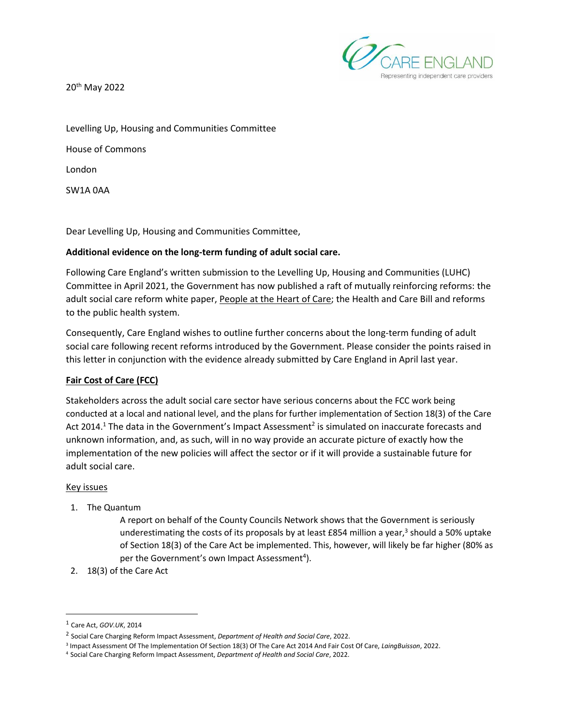Representing independent care providers

20th May 2022

Levelling Up, Housing and Communities Committee House of Commons London SW1A 0AA

Dear Levelling Up, Housing and Communities Committee,

## **Additional evidence on the long-term funding of adult social care.**

Following Care England's written submission to the Levelling Up, Housing and Communities (LUHC) Committee in April 2021, the Government has now published a raft of mutually reinforcing reforms: the adult social care reform white paper, [People at the Heart of Care;](https://www.gov.uk/government/publications/people-at-the-heart-of-care-adult-social-care-reform-white-paper) the Health and Care Bill and reforms to the public health system.

Consequently, Care England wishes to outline further concerns about the long-term funding of adult social care following recent reforms introduced by the Government. Please consider the points raised in this letter in conjunction with the evidence already submitted by Care England in April last year.

# **Fair Cost of Care (FCC)**

Stakeholders across the adult social care sector have serious concerns about the FCC work being conducted at a local and national level, and the plans for further implementation of Section 18(3) of the Care Act 2014.<sup>1</sup> The data in the Government's Impact Assessment<sup>2</sup> is simulated on inaccurate forecasts and unknown information, and, as such, will in no way provide an accurate picture of exactly how the implementation of the new policies will affect the sector or if it will provide a sustainable future for adult social care.

#### Key issues

1. The Quantum

A report on behalf of the County Councils Network shows that the Government is seriously underestimating the costs of its proposals by at least £854 million a year,<sup>3</sup> should a 50% uptake of Section 18(3) of the Care Act be implemented. This, however, will likely be far higher (80% as per the Government's own Impact Assessment<sup>4</sup>).

2. 18(3) of the Care Act

<sup>1</sup> [Care Act,](https://www.legislation.gov.uk/ukpga/2014/23/contents/enacted) *GOV.UK*, 2014

<sup>2</sup> [Social Care Charging Reform Impact Assessment,](https://assets.publishing.service.gov.uk/government/uploads/system/uploads/attachment_data/file/1044903/adult-social-care-charging-reform-impact-assessment.pdf) *Department of Health and Social Care*, 2022.

<sup>3</sup> [Impact Assessment Of The Implementation Of Section 18\(3\) Of The Care Act 2014 And Fair Cost](https://www.countycouncilsnetwork.org.uk/new-analysis-warns-government-has-seriously-underestimated-the-costs-of-adult-social-care-charging-reforms/) Of Care, *LaingBuisson*, 2022.

<sup>4</sup> [Social Care Charging Reform Impact Assessment,](https://assets.publishing.service.gov.uk/government/uploads/system/uploads/attachment_data/file/1044903/adult-social-care-charging-reform-impact-assessment.pdf) *Department of Health and Social Care*, 2022.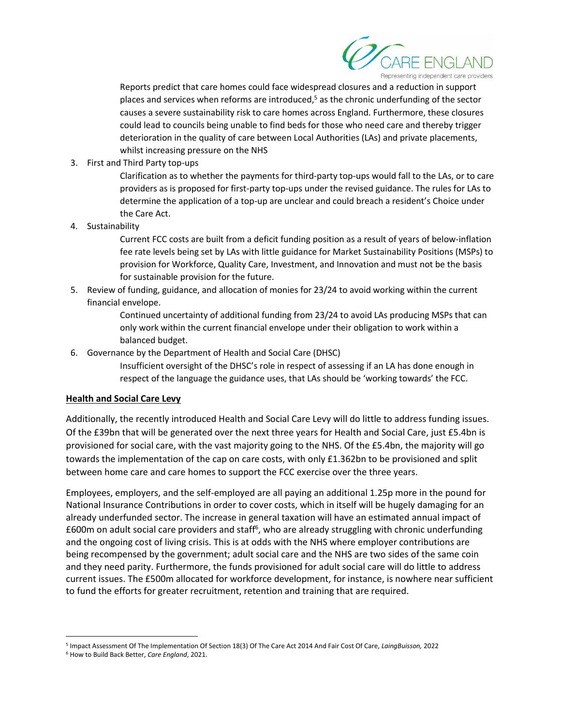

Reports predict that care homes could face widespread closures and a reduction in support places and services when reforms are introduced, $5$  as the chronic underfunding of the sector causes a severe sustainability risk to care homes across England. Furthermore, these closures could lead to councils being unable to find beds for those who need care and thereby trigger deterioration in the quality of care between Local Authorities (LAs) and private placements, whilst increasing pressure on the NHS

3. First and Third Party top-ups

Clarification as to whether the payments for third-party top-ups would fall to the LAs, or to care providers as is proposed for first-party top-ups under the revised guidance. The rules for LAs to determine the application of a top-up are unclear and could breach a resident's Choice under the Care Act.

4. Sustainability

Current FCC costs are built from a deficit funding position as a result of years of below-inflation fee rate levels being set by LAs with little guidance for Market Sustainability Positions (MSPs) to provision for Workforce, Quality Care, Investment, and Innovation and must not be the basis for sustainable provision for the future.

5. Review of funding, guidance, and allocation of monies for 23/24 to avoid working within the current financial envelope.

> Continued uncertainty of additional funding from 23/24 to avoid LAs producing MSPs that can only work within the current financial envelope under their obligation to work within a balanced budget.

6. Governance by the Department of Health and Social Care (DHSC)

Insufficient oversight of the DHSC's role in respect of assessing if an LA has done enough in respect of the language the guidance uses, that LAs should be 'working towards' the FCC.

### **Health and Social Care Levy**

Additionally, the recently introduced Health and Social Care Levy will do little to address funding issues. Of the £39bn that will be generated over the next three years for Health and Social Care, just £5.4bn is provisioned for social care, with the vast majority going to the NHS. Of the £5.4bn, the majority will go towards the implementation of the cap on care costs, with only £1.362bn to be provisioned and split between home care and care homes to support the FCC exercise over the three years.

Employees, employers, and the self-employed are all paying an additional 1.25p more in the pound for National Insurance Contributions in order to cover costs, which in itself will be hugely damaging for an already underfunded sector. The increase in general taxation will have an estimated annual impact of £600m on adult social care providers and staff<sup>6</sup>, who are already struggling with chronic underfunding and the ongoing cost of living crisis. This is at odds with the NHS where employer contributions are being recompensed by the government; adult social care and the NHS are two sides of the same coin and they need parity. Furthermore, the funds provisioned for adult social care will do little to address current issues. The £500m allocated for workforce development, for instance, is nowhere near sufficient to fund the efforts for greater recruitment, retention and training that are required.

<sup>5</sup> Impact Assessment Of The Implementation Of Section 18(3) Of The Care Act 2014 And Fair Cost Of Care, *LaingBuisson,* 2022

<sup>6</sup> [How to Build Back Better,](https://www.careengland.org.uk/sites/careengland/files/How%20to%20Build%20Back%20Better%20-%20final.pdf) *Care England*, 2021.